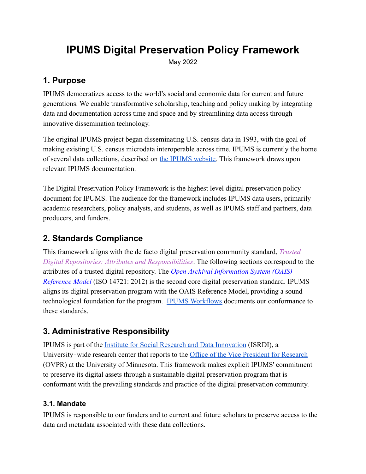# **IPUMS Digital Preservation Policy Framework**

May 2022

## **1. Purpose**

IPUMS democratizes access to the world's social and economic data for current and future generations. We enable transformative scholarship, teaching and policy making by integrating data and documentation across time and space and by streamlining data access through innovative dissemination technology.

The original IPUMS project began disseminating U.S. census data in 1993, with the goal of making existing U.S. census microdata interoperable across time. IPUMS is currently the home of several data collections, described on [the IPUMS](https://www.ipums.org/overview) website. This framework draws upon relevant IPUMS documentation.

The Digital Preservation Policy Framework is the highest level digital preservation policy document for IPUMS. The audience for the framework includes IPUMS data users, primarily academic researchers, policy analysts, and students, as well as IPUMS staff and partners, data producers, and funders.

## **2. Standards Compliance**

This framework aligns with the de facto digital preservation community standard, *Trusted Digital Repositories: Attributes and Responsibilities*. The following sections correspond to the attributes of a trusted digital repository. The *Open Archival Information System (OAIS) Reference Model* (ISO 14721: 2012) is the second core digital preservation standard. IPUMS aligns its digital preservation program with the OAIS Reference Model, providing a sound technological foundation for the program. [IPUMS Workflows](https://www.ipums.org/workflows) documents our conformance to these standards.

## **3. Administrative Responsibility**

IPUMS is part of the [Institute for Social Research](https://isrdi.umn.edu/) and Data Innovation (ISRDI), a University-wide research center that reports to the [Office of the Vice President for Research](https://research.umn.edu/) (OVPR) at the University of Minnesota. This framework makes explicit IPUMS' commitment to preserve its digital assets through a sustainable digital preservation program that is conformant with the prevailing standards and practice of the digital preservation community.

## **3.1. Mandate**

IPUMS is responsible to our funders and to current and future scholars to preserve access to the data and metadata associated with these data collections.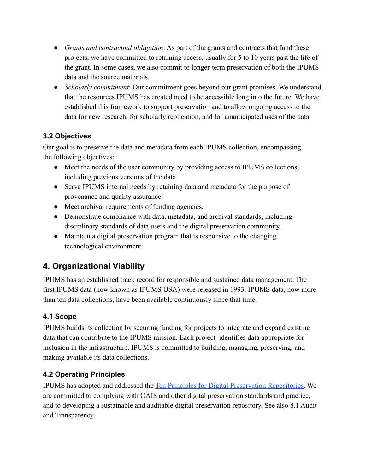- *Grants and contractual obligation*: As part of the grants and contracts that fund these projects, we have committed to retaining access, usually for 5 to 10 years past the life of the grant. In some cases, we also commit to longer-term preservation of both the IPUMS data and the source materials.
- *Scholarly commitment*: Our commitment goes beyond our grant promises. We understand that the resources IPUMS has created need to be accessible long into the future. We have established this framework to support preservation and to allow ongoing access to the data for new research, for scholarly replication, and for unanticipated uses of the data.

### **3.2 Objectives**

Our goal is to preserve the data and metadata from each IPUMS collection, encompassing the following objectives:

- Meet the needs of the user community by providing access to IPUMS collections, including previous versions of the data.
- Serve IPUMS internal needs by retaining data and metadata for the purpose of provenance and quality assurance.
- Meet archival requirements of funding agencies.
- Demonstrate compliance with data, metadata, and archival standards, including disciplinary standards of data users and the digital preservation community.
- Maintain a digital preservation program that is responsive to the changing technological environment.

## **4. Organizational Viability**

IPUMS has an established track record for responsible and sustained data management. The first IPUMS data (now known as IPUMS USA) were released in 1993. IPUMS data, now more than ten data collections, have been available continuously since that time.

## **4.1 Scope**

IPUMS builds its collection by securing funding for projects to integrate and expand existing data that can contribute to the IPUMS mission. Each project identifies data appropriate for inclusion in the infrastructure. IPUMS is committed to building, managing, preserving, and making available its data collections.

## **4.2 Operating Principles**

IPUMS has adopted and addressed the Ten Principles [for Digital Preservation Repositories](https://www.crl.edu/archiving-preservation/digital-archives/metrics-assessing-and-certifying/core-re). We are committed to complying with OAIS and other digital preservation standards and practice, and to developing a sustainable and auditable digital preservation repository. See also 8.1 Audit and Transparency.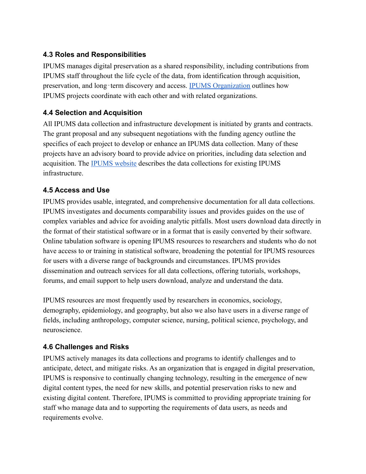### **4.3 Roles and Responsibilities**

IPUMS manages digital preservation as a shared responsibility, including contributions from IPUMS staff throughout the life cycle of the data, from identification through acquisition, preservation, and long-term discovery and access. [IPUMS Organization](https://www.ipums.org/organization) outlines how IPUMS projects coordinate with each other and with related organizations.

#### **4.4 Selection and Acquisition**

All IPUMS data collection and infrastructure development is initiated by grants and contracts. The grant proposal and any subsequent negotiations with the funding agency outline the specifics of each project to develop or enhance an IPUMS data collection. Many of these projects have an advisory board to provide advice on priorities, including data selection and acquisition. The [IPUMS website](https://www.ipums.org/overview) describes the data collections for existing IPUMS infrastructure.

#### **4.5 Access and Use**

IPUMS provides usable, integrated, and comprehensive documentation for all data collections. IPUMS investigates and documents comparability issues and provides guides on the use of complex variables and advice for avoiding analytic pitfalls. Most users download data directly in the format of their statistical software or in a format that is easily converted by their software. Online tabulation software is opening IPUMS resources to researchers and students who do not have access to or training in statistical software, broadening the potential for IPUMS resources for users with a diverse range of backgrounds and circumstances. IPUMS provides dissemination and outreach services for all data collections, offering tutorials, workshops, forums, and email support to help users download, analyze and understand the data.

IPUMS resources are most frequently used by researchers in economics, sociology, demography, epidemiology, and geography, but also we also have users in a diverse range of fields, including anthropology, computer science, nursing, political science, psychology, and neuroscience.

#### **4.6 Challenges and Risks**

IPUMS actively manages its data collections and programs to identify challenges and to anticipate, detect, and mitigate risks. As an organization that is engaged in digital preservation, IPUMS is responsive to continually changing technology, resulting in the emergence of new digital content types, the need for new skills, and potential preservation risks to new and existing digital content. Therefore, IPUMS is committed to providing appropriate training for staff who manage data and to supporting the requirements of data users, as needs and requirements evolve.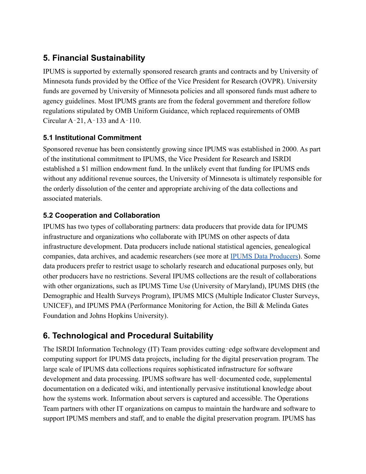## **5. Financial Sustainability**

IPUMS is supported by externally sponsored research grants and contracts and by University of Minnesota funds provided by the Office of the Vice President for Research (OVPR). University funds are governed by University of Minnesota policies and all sponsored funds must adhere to agency guidelines. Most IPUMS grants are from the federal government and therefore follow regulations stipulated by OMB Uniform Guidance, which replaced requirements of OMB Circular A‐21, A‐133 and A‐110.

### **5.1 Institutional Commitment**

Sponsored revenue has been consistently growing since IPUMS was established in 2000. As part of the institutional commitment to IPUMS, the Vice President for Research and ISRDI established a \$1 million endowment fund. In the unlikely event that funding for IPUMS ends without any additional revenue sources, the University of Minnesota is ultimately responsible for the orderly dissolution of the center and appropriate archiving of the data collections and associated materials.

### **5.2 Cooperation and Collaboration**

IPUMS has two types of collaborating partners: data producers that provide data for IPUMS infrastructure and organizations who collaborate with IPUMS on other aspects of data infrastructure development. Data producers include national statistical agencies, genealogical companies, data archives, and academic researchers (see more at [IPUMS Data Producers\)](https://www.ipums.org/producers). Some data producers prefer to restrict usage to scholarly research and educational purposes only, but other producers have no restrictions. Several IPUMS collections are the result of collaborations with other organizations, such as IPUMS Time Use (University of Maryland), IPUMS DHS (the Demographic and Health Surveys Program), IPUMS MICS (Multiple Indicator Cluster Surveys, UNICEF), and IPUMS PMA (Performance Monitoring for Action, the Bill & Melinda Gates Foundation and Johns Hopkins University).

## **6. Technological and Procedural Suitability**

The ISRDI Information Technology (IT) Team provides cutting-edge software development and computing support for IPUMS data projects, including for the digital preservation program. The large scale of IPUMS data collections requires sophisticated infrastructure for software development and data processing. IPUMS software has well‐documented code, supplemental documentation on a dedicated wiki, and intentionally pervasive institutional knowledge about how the systems work. Information about servers is captured and accessible. The Operations Team partners with other IT organizations on campus to maintain the hardware and software to support IPUMS members and staff, and to enable the digital preservation program. IPUMS has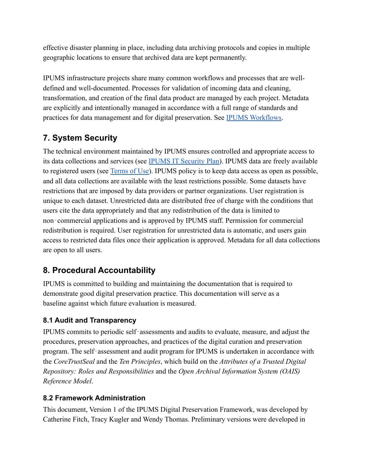effective disaster planning in place, including data archiving protocols and copies in multiple geographic locations to ensure that archived data are kept permanently.

IPUMS infrastructure projects share many common workflows and processes that are welldefined and well-documented. Processes for validation of incoming data and cleaning, transformation, and creation of the final data product are managed by each project. Metadata are explicitly and intentionally managed in accordance with a full range of standards and practices for data management and for digital preservation. See [IPUMS Workflows](https://www.ipums.org/workflows).

## **7. System Security**

The technical environment maintained by IPUMS ensures controlled and appropriate access to its data collections and services (see [IPUMS IT Security](https://docs.google.com/document/d/1PF1Zqtm2mnWP_-KzLe9EvpwQYYSR1G36ANgp0mFlrFo/edit?usp=sharing) Plan). IPUMS data are freely available to registered users (see [Terms of Use](https://www.ipums.org/about/terms)). IPUMS policy is to keep data access as open as possible, and all data collections are available with the least restrictions possible. Some datasets have restrictions that are imposed by data providers or partner organizations. User registration is unique to each dataset. Unrestricted data are distributed free of charge with the conditions that users cite the data appropriately and that any redistribution of the data is limited to non‐commercial applications and is approved by IPUMS staff. Permission for commercial redistribution is required. User registration for unrestricted data is automatic, and users gain access to restricted data files once their application is approved. Metadata for all data collections are open to all users.

## **8. Procedural Accountability**

IPUMS is committed to building and maintaining the documentation that is required to demonstrate good digital preservation practice. This documentation will serve as a baseline against which future evaluation is measured.

### **8.1 Audit and Transparency**

IPUMS commits to periodic self‐assessments and audits to evaluate, measure, and adjust the procedures, preservation approaches, and practices of the digital curation and preservation program. The self‐assessment and audit program for IPUMS is undertaken in accordance with the *CoreTrustSeal* and the *Ten Principles*, which build on the *Attributes of a Trusted Digital Repository: Roles and Responsibilities* and the *Open Archival Information System (OAIS) Reference Model*.

### **8.2 Framework Administration**

This document, Version 1 of the IPUMS Digital Preservation Framework, was developed by Catherine Fitch, Tracy Kugler and Wendy Thomas. Preliminary versions were developed in